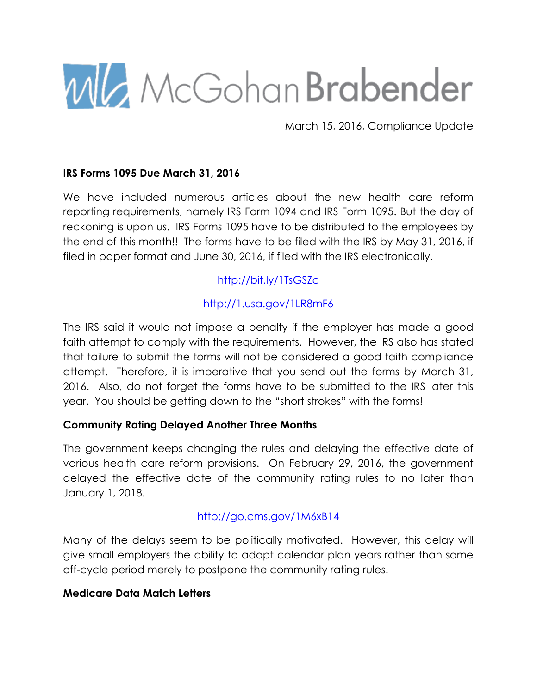

March 15, 2016, Compliance Update

### **IRS Forms 1095 Due March 31, 2016**

We have included numerous articles about the new health care reform reporting requirements, namely IRS Form 1094 and IRS Form 1095. But the day of reckoning is upon us. IRS Forms 1095 have to be distributed to the employees by the end of this month!! The forms have to be filed with the IRS by May 31, 2016, if filed in paper format and June 30, 2016, if filed with the IRS electronically.

# http://bit.ly/1TsGSZc

## http://1.usa.gov/1LR8mF6

The IRS said it would not impose a penalty if the employer has made a good faith attempt to comply with the requirements. However, the IRS also has stated that failure to submit the forms will not be considered a good faith compliance attempt. Therefore, it is imperative that you send out the forms by March 31, 2016. Also, do not forget the forms have to be submitted to the IRS later this year. You should be getting down to the "short strokes" with the forms!

### **Community Rating Delayed Another Three Months**

The government keeps changing the rules and delaying the effective date of various health care reform provisions. On February 29, 2016, the government delayed the effective date of the community rating rules to no later than January 1, 2018.

# http://go.cms.gov/1M6xB14

Many of the delays seem to be politically motivated. However, this delay will give small employers the ability to adopt calendar plan years rather than some off-cycle period merely to postpone the community rating rules.

### **Medicare Data Match Letters**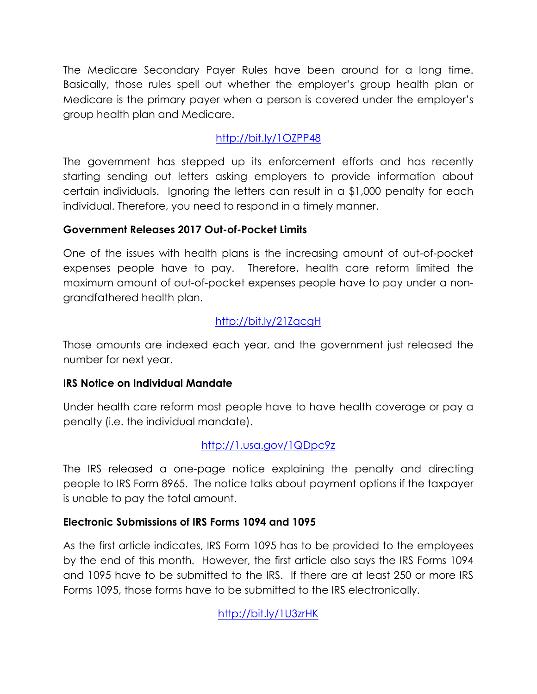The Medicare Secondary Payer Rules have been around for a long time. Basically, those rules spell out whether the employer's group health plan or Medicare is the primary payer when a person is covered under the employer's group health plan and Medicare.

# http://bit.ly/1OZPP48

The government has stepped up its enforcement efforts and has recently starting sending out letters asking employers to provide information about certain individuals. Ignoring the letters can result in a \$1,000 penalty for each individual. Therefore, you need to respond in a timely manner.

# **Government Releases 2017 Out-of-Pocket Limits**

One of the issues with health plans is the increasing amount of out-of-pocket expenses people have to pay. Therefore, health care reform limited the maximum amount of out-of-pocket expenses people have to pay under a nongrandfathered health plan.

# http://bit.ly/21ZqcgH

Those amounts are indexed each year, and the government just released the number for next year.

# **IRS Notice on Individual Mandate**

Under health care reform most people have to have health coverage or pay a penalty (i.e. the individual mandate).

# http://1.usa.gov/1QDpc9z

The IRS released a one-page notice explaining the penalty and directing people to IRS Form 8965. The notice talks about payment options if the taxpayer is unable to pay the total amount.

# **Electronic Submissions of IRS Forms 1094 and 1095**

As the first article indicates, IRS Form 1095 has to be provided to the employees by the end of this month. However, the first article also says the IRS Forms 1094 and 1095 have to be submitted to the IRS. If there are at least 250 or more IRS Forms 1095, those forms have to be submitted to the IRS electronically.

http://bit.ly/1U3zrHK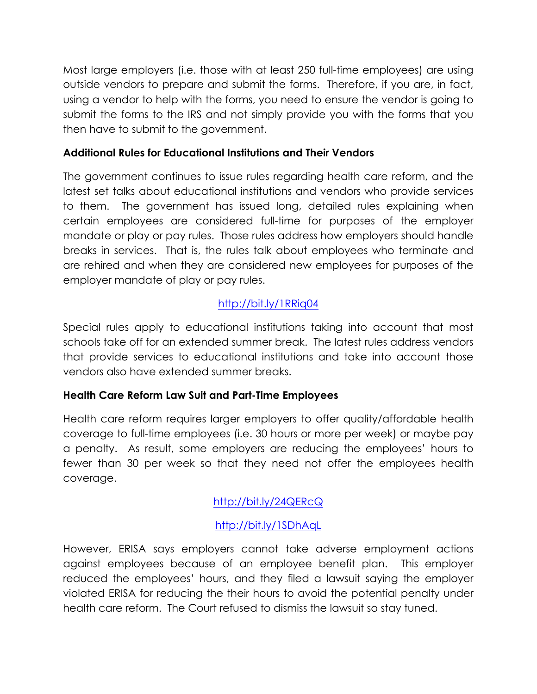Most large employers (i.e. those with at least 250 full-time employees) are using outside vendors to prepare and submit the forms. Therefore, if you are, in fact, using a vendor to help with the forms, you need to ensure the vendor is going to submit the forms to the IRS and not simply provide you with the forms that you then have to submit to the government.

## **Additional Rules for Educational Institutions and Their Vendors**

The government continues to issue rules regarding health care reform, and the latest set talks about educational institutions and vendors who provide services to them. The government has issued long, detailed rules explaining when certain employees are considered full-time for purposes of the employer mandate or play or pay rules. Those rules address how employers should handle breaks in services. That is, the rules talk about employees who terminate and are rehired and when they are considered new employees for purposes of the employer mandate of play or pay rules.

# http://bit.ly/1RRiq04

Special rules apply to educational institutions taking into account that most schools take off for an extended summer break. The latest rules address vendors that provide services to educational institutions and take into account those vendors also have extended summer breaks.

# **Health Care Reform Law Suit and Part-Time Employees**

Health care reform requires larger employers to offer quality/affordable health coverage to full-time employees (i.e. 30 hours or more per week) or maybe pay a penalty. As result, some employers are reducing the employees' hours to fewer than 30 per week so that they need not offer the employees health coverage.

# http://bit.ly/24QERcQ

# http://bit.ly/1SDhAqL

However, ERISA says employers cannot take adverse employment actions against employees because of an employee benefit plan. This employer reduced the employees' hours, and they filed a lawsuit saying the employer violated ERISA for reducing the their hours to avoid the potential penalty under health care reform. The Court refused to dismiss the lawsuit so stay tuned.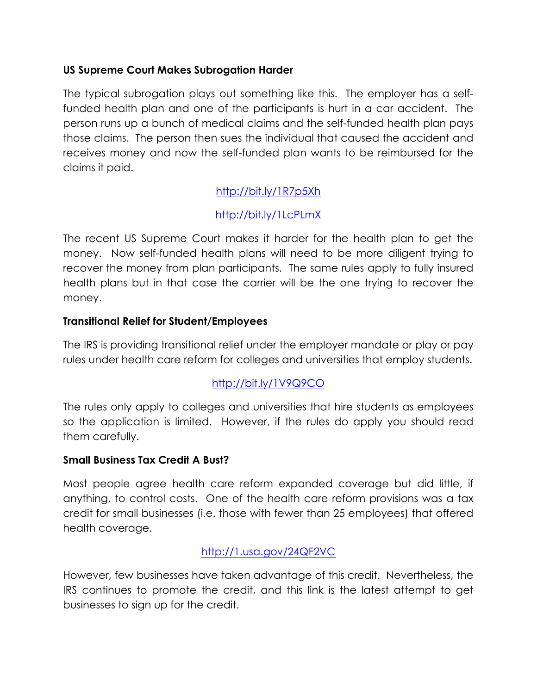## **US Supreme Court Makes Subrogation Harder**

The typical subrogation plays out something like this. The employer has a selffunded health plan and one of the participants is hurt in a car accident. The person runs up a bunch of medical claims and the self-funded health plan pays those claims. The person then sues the individual that caused the accident and receives money and now the self-funded plan wants to be reimbursed for the claims it paid.

# http://bit.ly/1R7p5Xh

# http://bit.ly/1LcPLmX

The recent US Supreme Court makes it harder for the health plan to get the money. Now self-funded health plans will need to be more diligent trying to recover the money from plan participants. The same rules apply to fully insured health plans but in that case the carrier will be the one trying to recover the money.

### **Transitional Relief for Student/Employees**

The IRS is providing transitional relief under the employer mandate or play or pay rules under health care reform for colleges and universities that employ students.

# http://bit.ly/1V9Q9CO

The rules only apply to colleges and universities that hire students as employees so the application is limited. However, if the rules do apply you should read them carefully.

### **Small Business Tax Credit A Bust?**

Most people agree health care reform expanded coverage but did little, if anything, to control costs. One of the health care reform provisions was a tax credit for small businesses (i.e. those with fewer than 25 employees) that offered health coverage.

# http://1.usa.gov/24QF2VC

However, few businesses have taken advantage of this credit. Nevertheless, the IRS continues to promote the credit, and this link is the latest attempt to get businesses to sign up for the credit.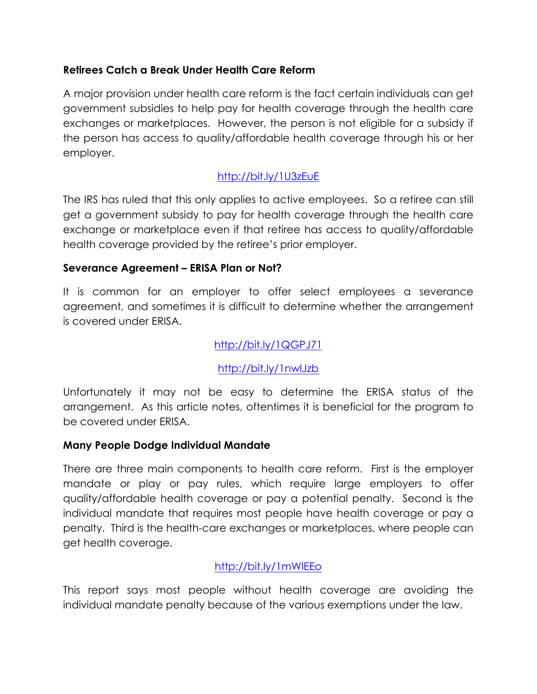## **Retirees Catch a Break Under Health Care Reform**

A major provision under health care reform is the fact certain individuals can get government subsidies to help pay for health coverage through the health care exchanges or marketplaces. However, the person is not eligible for a subsidy if the person has access to quality/affordable health coverage through his or her employer.

# http://bit.ly/1U3zEuE

The IRS has ruled that this only applies to active employees. So a retiree can still get a government subsidy to pay for health coverage through the health care exchange or marketplace even if that retiree has access to quality/affordable health coverage provided by the retiree's prior employer.

## **Severance Agreement – ERISA Plan or Not?**

It is common for an employer to offer select employees a severance agreement, and sometimes it is difficult to determine whether the arrangement is covered under ERISA.

## http://bit.ly/1QGPJ71

# http://bit.ly/1nwlJzb

Unfortunately it may not be easy to determine the ERISA status of the arrangement. As this article notes, oftentimes it is beneficial for the program to be covered under ERISA.

### **Many People Dodge Individual Mandate**

There are three main components to health care reform. First is the employer mandate or play or pay rules, which require large employers to offer quality/affordable health coverage or pay a potential penalty. Second is the individual mandate that requires most people have health coverage or pay a penalty. Third is the health-care exchanges or marketplaces, where people can get health coverage.

# http://bit.ly/1mWlEEo

This report says most people without health coverage are avoiding the individual mandate penalty because of the various exemptions under the law.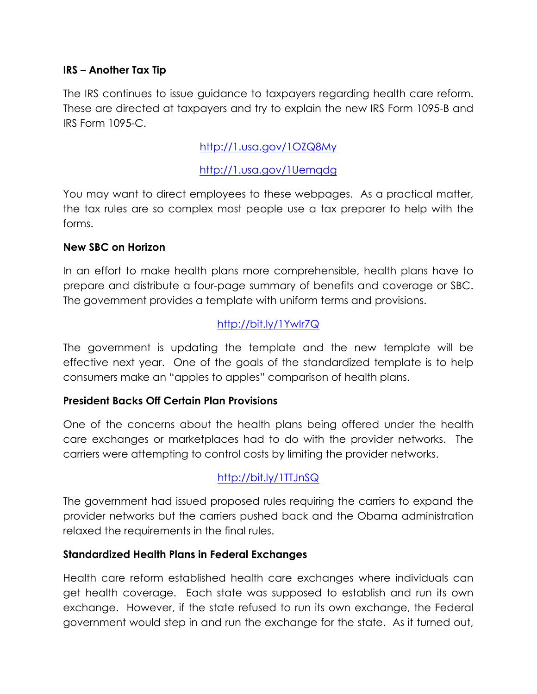### **IRS – Another Tax Tip**

The IRS continues to issue guidance to taxpayers regarding health care reform. These are directed at taxpayers and try to explain the new IRS Form 1095-B and IRS Form 1095-C.

## http://1.usa.gov/1OZQ8My

## http://1.usa.gov/1Uemqdg

You may want to direct employees to these webpages. As a practical matter, the tax rules are so complex most people use a tax preparer to help with the forms.

#### **New SBC on Horizon**

In an effort to make health plans more comprehensible, health plans have to prepare and distribute a four-page summary of benefits and coverage or SBC. The government provides a template with uniform terms and provisions.

# http://bit.ly/1YwIr7Q

The government is updating the template and the new template will be effective next year. One of the goals of the standardized template is to help consumers make an "apples to apples" comparison of health plans.

### **President Backs Off Certain Plan Provisions**

One of the concerns about the health plans being offered under the health care exchanges or marketplaces had to do with the provider networks. The carriers were attempting to control costs by limiting the provider networks.

# http://bit.ly/1TTJnSQ

The government had issued proposed rules requiring the carriers to expand the provider networks but the carriers pushed back and the Obama administration relaxed the requirements in the final rules.

#### **Standardized Health Plans in Federal Exchanges**

Health care reform established health care exchanges where individuals can get health coverage. Each state was supposed to establish and run its own exchange. However, if the state refused to run its own exchange, the Federal government would step in and run the exchange for the state. As it turned out,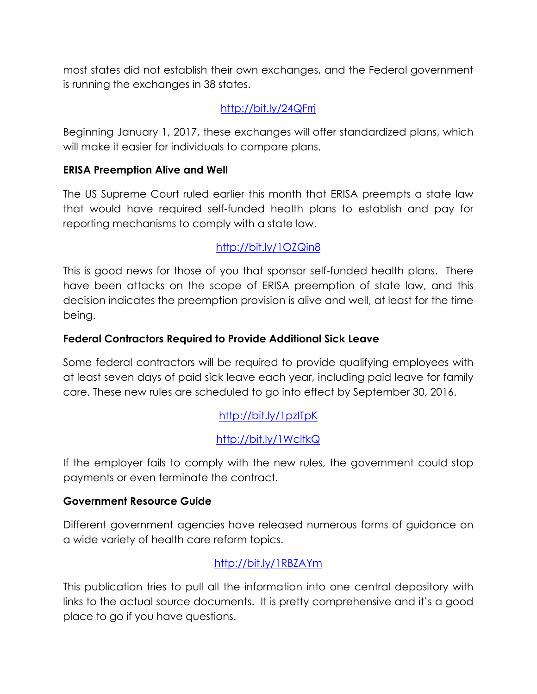most states did not establish their own exchanges, and the Federal government is running the exchanges in 38 states.

# http://bit.ly/24QFrrj

Beginning January 1, 2017, these exchanges will offer standardized plans, which will make it easier for individuals to compare plans.

### **ERISA Preemption Alive and Well**

The US Supreme Court ruled earlier this month that ERISA preempts a state law that would have required self-funded health plans to establish and pay for reporting mechanisms to comply with a state law.

# http://bit.ly/1OZQin8

This is good news for those of you that sponsor self-funded health plans. There have been attacks on the scope of ERISA preemption of state law, and this decision indicates the preemption provision is alive and well, at least for the time being.

## **Federal Contractors Required to Provide Additional Sick Leave**

Some federal contractors will be required to provide qualifying employees with at least seven days of paid sick leave each year, including paid leave for family care. These new rules are scheduled to go into effect by September 30, 2016.

# http://bit.ly/1pzITpK

# http://bit.ly/1WcltkQ

If the employer fails to comply with the new rules, the government could stop payments or even terminate the contract.

### **Government Resource Guide**

Different government agencies have released numerous forms of guidance on a wide variety of health care reform topics.

# http://bit.ly/1RBZAYm

This publication tries to pull all the information into one central depository with links to the actual source documents. It is pretty comprehensive and it's a good place to go if you have questions.